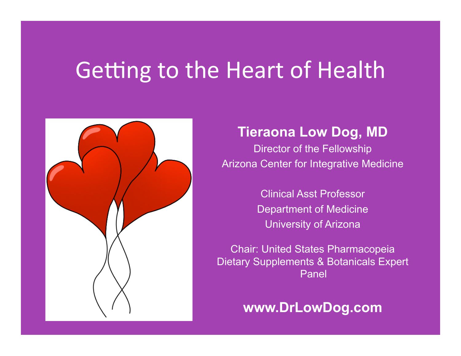# Getting to the Heart of Health



### **Tieraona Low Dog, MD**

Director of the Fellowship Arizona Center for Integrative Medicine

> Clinical Asst Professor Department of Medicine University of Arizona

Chair: United States Pharmacopeia Dietary Supplements & Botanicals Expert Panel

**www.DrLowDog.com**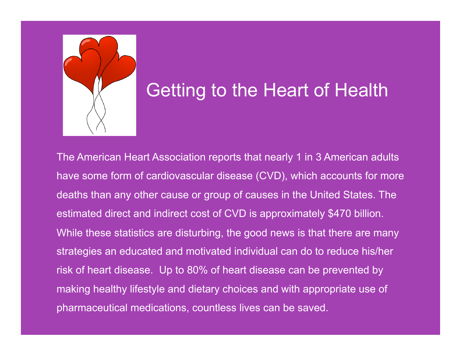

### Getting to the Heart of Health

The American Heart Association reports that nearly 1 in 3 American adults have some form of cardiovascular disease (CVD), which accounts for more deaths than any other cause or group of causes in the United States. The estimated direct and indirect cost of CVD is approximately \$470 billion. While these statistics are disturbing, the good news is that there are many strategies an educated and motivated individual can do to reduce his/her risk of heart disease. Up to 80% of heart disease can be prevented by making healthy lifestyle and dietary choices and with appropriate use of pharmaceutical medications, countless lives can be saved.